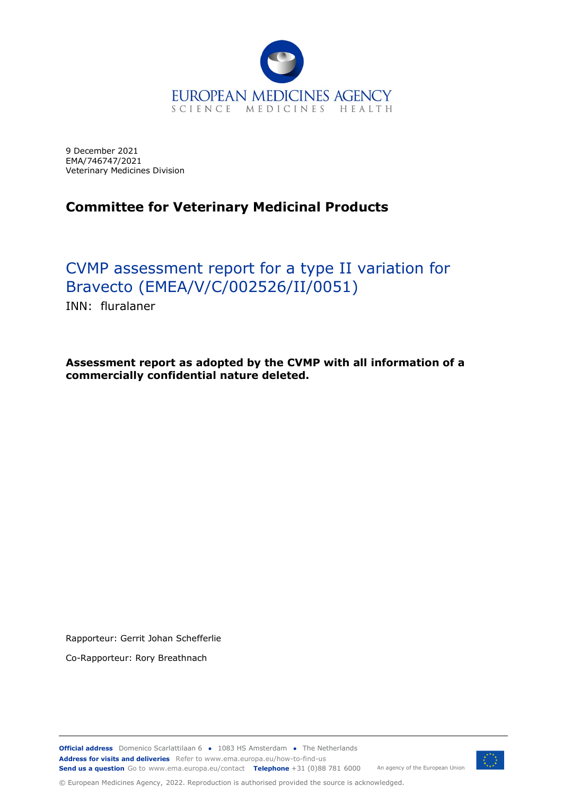

9 December 2021 EMA/746747/2021 Veterinary Medicines Division

## **Committee for Veterinary Medicinal Products**

# CVMP assessment report for a type II variation for Bravecto (EMEA/V/C/002526/II/0051)

INN: fluralaner

**Assessment report as adopted by the CVMP with all information of a commercially confidential nature deleted.**

Rapporteur: Gerrit Johan Schefferlie

Co-Rapporteur: Rory Breathnach

**Official address** Domenico Scarlattilaan 6 **●** 1083 HS Amsterdam **●** The Netherlands An agency of the European Union **Address for visits and deliveries** Refer to www.ema.europa.eu/how-to-find-us **Send us a question** Go to www.ema.europa.eu/contact **Telephone** +31 (0)88 781 6000



© European Medicines Agency, 2022. Reproduction is authorised provided the source is acknowledged.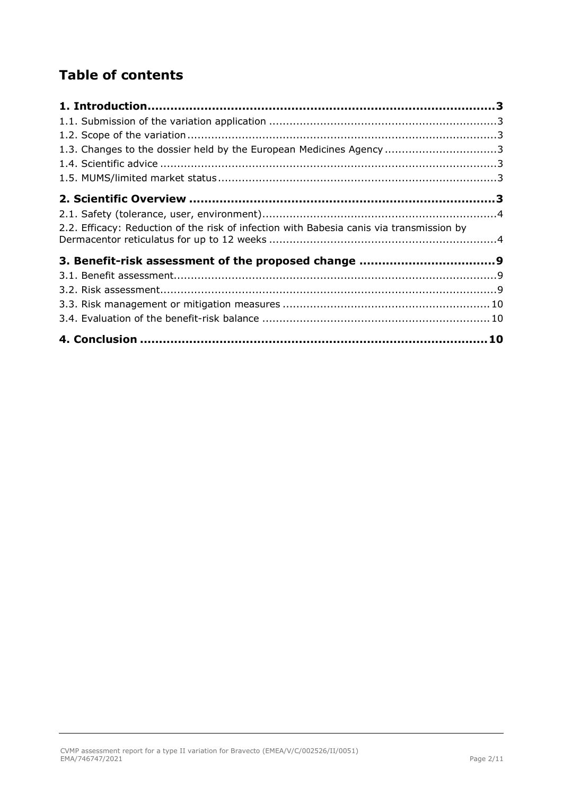## **Table of contents**

| 1.3. Changes to the dossier held by the European Medicines Agency 3                      |  |
|------------------------------------------------------------------------------------------|--|
|                                                                                          |  |
|                                                                                          |  |
|                                                                                          |  |
|                                                                                          |  |
| 2.2. Efficacy: Reduction of the risk of infection with Babesia canis via transmission by |  |
|                                                                                          |  |
|                                                                                          |  |
|                                                                                          |  |
|                                                                                          |  |
|                                                                                          |  |
|                                                                                          |  |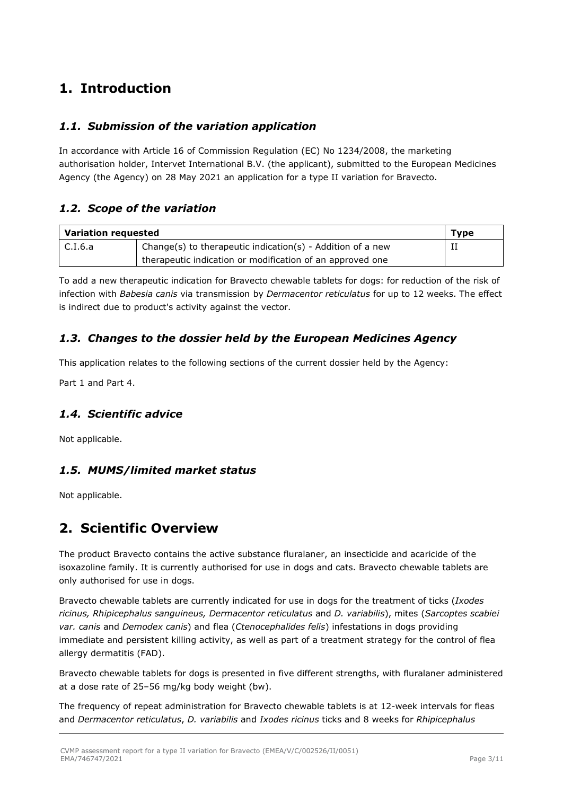### <span id="page-2-0"></span>**1. Introduction**

### <span id="page-2-1"></span>*1.1. Submission of the variation application*

In accordance with Article 16 of Commission Regulation (EC) No 1234/2008, the marketing authorisation holder, Intervet International B.V. (the applicant), submitted to the European Medicines Agency (the Agency) on 28 May 2021 an application for a type II variation for Bravecto.

### <span id="page-2-2"></span>*1.2. Scope of the variation*

| Variation requested |                                                            |  |
|---------------------|------------------------------------------------------------|--|
| $\mathsf{C}.I.6.a$  | Change(s) to therapeutic indication(s) - Addition of a new |  |
|                     | therapeutic indication or modification of an approved one  |  |

To add a new therapeutic indication for Bravecto chewable tablets for dogs: for reduction of the risk of infection with *Babesia canis* via transmission by *Dermacentor reticulatus* for up to 12 weeks. The effect is indirect due to product's activity against the vector.

### <span id="page-2-3"></span>*1.3. Changes to the dossier held by the European Medicines Agency*

This application relates to the following sections of the current dossier held by the Agency:

Part 1 and Part 4.

### <span id="page-2-4"></span>*1.4. Scientific advice*

Not applicable.

### <span id="page-2-5"></span>*1.5. MUMS/limited market status*

Not applicable.

### <span id="page-2-6"></span>**2. Scientific Overview**

The product Bravecto contains the active substance fluralaner, an insecticide and acaricide of the isoxazoline family. It is currently authorised for use in dogs and cats. Bravecto chewable tablets are only authorised for use in dogs.

Bravecto chewable tablets are currently indicated for use in dogs for the treatment of ticks (*Ixodes ricinus, Rhipicephalus sanguineus, Dermacentor reticulatus* and *D. variabilis*), mites (*Sarcoptes scabiei var. canis* and *Demodex canis*) and flea (*Ctenocephalides felis*) infestations in dogs providing immediate and persistent killing activity, as well as part of a treatment strategy for the control of flea allergy dermatitis (FAD).

Bravecto chewable tablets for dogs is presented in five different strengths, with fluralaner administered at a dose rate of 25–56 mg/kg body weight (bw).

The frequency of repeat administration for Bravecto chewable tablets is at 12-week intervals for fleas and *Dermacentor reticulatus*, *D. variabilis* and *Ixodes ricinus* ticks and 8 weeks for *Rhipicephalus*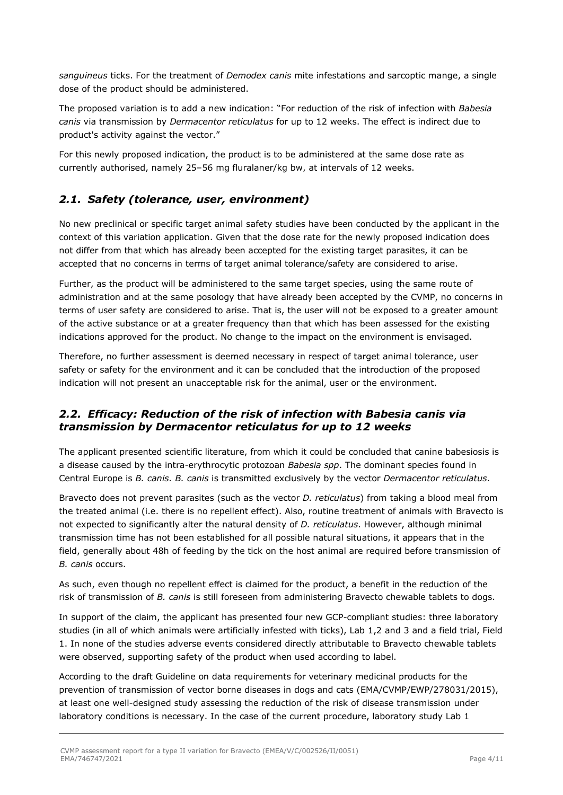*sanguineus* ticks. For the treatment of *Demodex canis* mite infestations and sarcoptic mange, a single dose of the product should be administered.

The proposed variation is to add a new indication: "For reduction of the risk of infection with *Babesia canis* via transmission by *Dermacentor reticulatus* for up to 12 weeks. The effect is indirect due to product's activity against the vector."

For this newly proposed indication, the product is to be administered at the same dose rate as currently authorised, namely 25–56 mg fluralaner/kg bw, at intervals of 12 weeks.

### <span id="page-3-0"></span>*2.1. Safety (tolerance, user, environment)*

No new preclinical or specific target animal safety studies have been conducted by the applicant in the context of this variation application. Given that the dose rate for the newly proposed indication does not differ from that which has already been accepted for the existing target parasites, it can be accepted that no concerns in terms of target animal tolerance/safety are considered to arise.

Further, as the product will be administered to the same target species, using the same route of administration and at the same posology that have already been accepted by the CVMP, no concerns in terms of user safety are considered to arise. That is, the user will not be exposed to a greater amount of the active substance or at a greater frequency than that which has been assessed for the existing indications approved for the product. No change to the impact on the environment is envisaged.

Therefore, no further assessment is deemed necessary in respect of target animal tolerance, user safety or safety for the environment and it can be concluded that the introduction of the proposed indication will not present an unacceptable risk for the animal, user or the environment.

#### <span id="page-3-1"></span>*2.2. Efficacy: Reduction of the risk of infection with Babesia canis via transmission by Dermacentor reticulatus for up to 12 weeks*

The applicant presented scientific literature, from which it could be concluded that canine babesiosis is a disease caused by the intra-erythrocytic protozoan *Babesia spp*. The dominant species found in Central Europe is *B. canis. B. canis* is transmitted exclusively by the vector *Dermacentor reticulatus*.

Bravecto does not prevent parasites (such as the vector *D. reticulatus*) from taking a blood meal from the treated animal (i.e. there is no repellent effect). Also, routine treatment of animals with Bravecto is not expected to significantly alter the natural density of *D. reticulatus*. However, although minimal transmission time has not been established for all possible natural situations, it appears that in the field, generally about 48h of feeding by the tick on the host animal are required before transmission of *B. canis* occurs.

As such, even though no repellent effect is claimed for the product, a benefit in the reduction of the risk of transmission of *B. canis* is still foreseen from administering Bravecto chewable tablets to dogs.

In support of the claim, the applicant has presented four new GCP-compliant studies: three laboratory studies (in all of which animals were artificially infested with ticks), Lab 1,2 and 3 and a field trial, Field 1. In none of the studies adverse events considered directly attributable to Bravecto chewable tablets were observed, supporting safety of the product when used according to label.

According to the draft Guideline on data requirements for veterinary medicinal products for the prevention of transmission of vector borne diseases in dogs and cats (EMA/CVMP/EWP/278031/2015), at least one well-designed study assessing the reduction of the risk of disease transmission under laboratory conditions is necessary. In the case of the current procedure, laboratory study Lab 1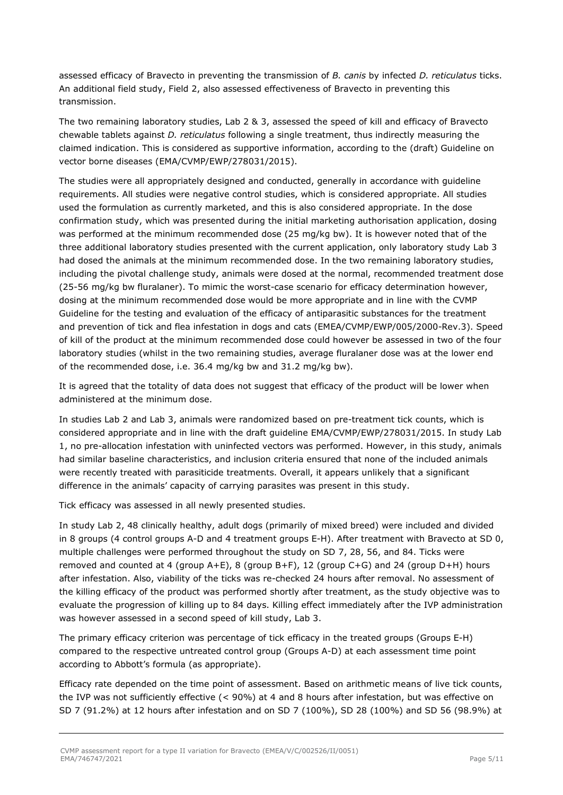assessed efficacy of Bravecto in preventing the transmission of *B. canis* by infected *D. reticulatus* ticks. An additional field study, Field 2, also assessed effectiveness of Bravecto in preventing this transmission.

The two remaining laboratory studies, Lab 2 & 3, assessed the speed of kill and efficacy of Bravecto chewable tablets against *D. reticulatus* following a single treatment, thus indirectly measuring the claimed indication. This is considered as supportive information, according to the (draft) Guideline on vector borne diseases (EMA/CVMP/EWP/278031/2015).

The studies were all appropriately designed and conducted, generally in accordance with guideline requirements. All studies were negative control studies, which is considered appropriate. All studies used the formulation as currently marketed, and this is also considered appropriate. In the dose confirmation study, which was presented during the initial marketing authorisation application, dosing was performed at the minimum recommended dose (25 mg/kg bw). It is however noted that of the three additional laboratory studies presented with the current application, only laboratory study Lab 3 had dosed the animals at the minimum recommended dose. In the two remaining laboratory studies, including the pivotal challenge study, animals were dosed at the normal, recommended treatment dose (25-56 mg/kg bw fluralaner). To mimic the worst-case scenario for efficacy determination however, dosing at the minimum recommended dose would be more appropriate and in line with the CVMP Guideline for the testing and evaluation of the efficacy of antiparasitic substances for the treatment and prevention of tick and flea infestation in dogs and cats (EMEA/CVMP/EWP/005/2000-Rev.3). Speed of kill of the product at the minimum recommended dose could however be assessed in two of the four laboratory studies (whilst in the two remaining studies, average fluralaner dose was at the lower end of the recommended dose, i.e. 36.4 mg/kg bw and 31.2 mg/kg bw).

It is agreed that the totality of data does not suggest that efficacy of the product will be lower when administered at the minimum dose.

In studies Lab 2 and Lab 3, animals were randomized based on pre-treatment tick counts, which is considered appropriate and in line with the draft guideline EMA/CVMP/EWP/278031/2015. In study Lab 1, no pre-allocation infestation with uninfected vectors was performed. However, in this study, animals had similar baseline characteristics, and inclusion criteria ensured that none of the included animals were recently treated with parasiticide treatments. Overall, it appears unlikely that a significant difference in the animals' capacity of carrying parasites was present in this study.

Tick efficacy was assessed in all newly presented studies.

In study Lab 2, 48 clinically healthy, adult dogs (primarily of mixed breed) were included and divided in 8 groups (4 control groups A-D and 4 treatment groups E-H). After treatment with Bravecto at SD 0, multiple challenges were performed throughout the study on SD 7, 28, 56, and 84. Ticks were removed and counted at 4 (group A+E), 8 (group B+F), 12 (group C+G) and 24 (group D+H) hours after infestation. Also, viability of the ticks was re-checked 24 hours after removal. No assessment of the killing efficacy of the product was performed shortly after treatment, as the study objective was to evaluate the progression of killing up to 84 days. Killing effect immediately after the IVP administration was however assessed in a second speed of kill study, Lab 3.

The primary efficacy criterion was percentage of tick efficacy in the treated groups (Groups E-H) compared to the respective untreated control group (Groups A-D) at each assessment time point according to Abbott's formula (as appropriate).

Efficacy rate depended on the time point of assessment. Based on arithmetic means of live tick counts, the IVP was not sufficiently effective (< 90%) at 4 and 8 hours after infestation, but was effective on SD 7 (91.2%) at 12 hours after infestation and on SD 7 (100%), SD 28 (100%) and SD 56 (98.9%) at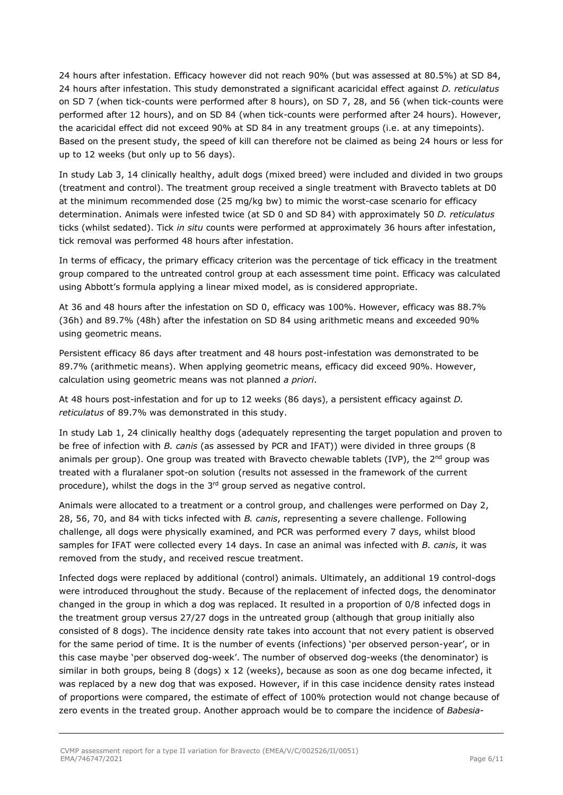24 hours after infestation. Efficacy however did not reach 90% (but was assessed at 80.5%) at SD 84, 24 hours after infestation. This study demonstrated a significant acaricidal effect against *D. reticulatus* on SD 7 (when tick-counts were performed after 8 hours), on SD 7, 28, and 56 (when tick-counts were performed after 12 hours), and on SD 84 (when tick-counts were performed after 24 hours). However, the acaricidal effect did not exceed 90% at SD 84 in any treatment groups (i.e. at any timepoints). Based on the present study, the speed of kill can therefore not be claimed as being 24 hours or less for up to 12 weeks (but only up to 56 days).

In study Lab 3, 14 clinically healthy, adult dogs (mixed breed) were included and divided in two groups (treatment and control). The treatment group received a single treatment with Bravecto tablets at D0 at the minimum recommended dose (25 mg/kg bw) to mimic the worst-case scenario for efficacy determination. Animals were infested twice (at SD 0 and SD 84) with approximately 50 *D. reticulatus* ticks (whilst sedated). Tick *in situ* counts were performed at approximately 36 hours after infestation, tick removal was performed 48 hours after infestation.

In terms of efficacy, the primary efficacy criterion was the percentage of tick efficacy in the treatment group compared to the untreated control group at each assessment time point. Efficacy was calculated using Abbott's formula applying a linear mixed model, as is considered appropriate.

At 36 and 48 hours after the infestation on SD 0, efficacy was 100%. However, efficacy was 88.7% (36h) and 89.7% (48h) after the infestation on SD 84 using arithmetic means and exceeded 90% using geometric means.

Persistent efficacy 86 days after treatment and 48 hours post-infestation was demonstrated to be 89.7% (arithmetic means). When applying geometric means, efficacy did exceed 90%. However, calculation using geometric means was not planned *a priori*.

At 48 hours post-infestation and for up to 12 weeks (86 days), a persistent efficacy against *D. reticulatus* of 89.7% was demonstrated in this study.

In study Lab 1, 24 clinically healthy dogs (adequately representing the target population and proven to be free of infection with *B. canis* (as assessed by PCR and IFAT)) were divided in three groups (8 animals per group). One group was treated with Bravecto chewable tablets (IVP), the  $2^{nd}$  group was treated with a fluralaner spot-on solution (results not assessed in the framework of the current procedure), whilst the dogs in the 3<sup>rd</sup> group served as negative control.

Animals were allocated to a treatment or a control group, and challenges were performed on Day 2, 28, 56, 70, and 84 with ticks infected with *B. canis*, representing a severe challenge. Following challenge, all dogs were physically examined, and PCR was performed every 7 days, whilst blood samples for IFAT were collected every 14 days. In case an animal was infected with *B. canis*, it was removed from the study, and received rescue treatment.

Infected dogs were replaced by additional (control) animals. Ultimately, an additional 19 control-dogs were introduced throughout the study. Because of the replacement of infected dogs, the denominator changed in the group in which a dog was replaced. It resulted in a proportion of 0/8 infected dogs in the treatment group versus 27/27 dogs in the untreated group (although that group initially also consisted of 8 dogs). The incidence density rate takes into account that not every patient is observed for the same period of time. It is the number of events (infections) 'per observed person-year', or in this case maybe 'per observed dog-week'. The number of observed dog-weeks (the denominator) is similar in both groups, being 8 (dogs)  $\times$  12 (weeks), because as soon as one dog became infected, it was replaced by a new dog that was exposed. However, if in this case incidence density rates instead of proportions were compared, the estimate of effect of 100% protection would not change because of zero events in the treated group. Another approach would be to compare the incidence of *Babesia*-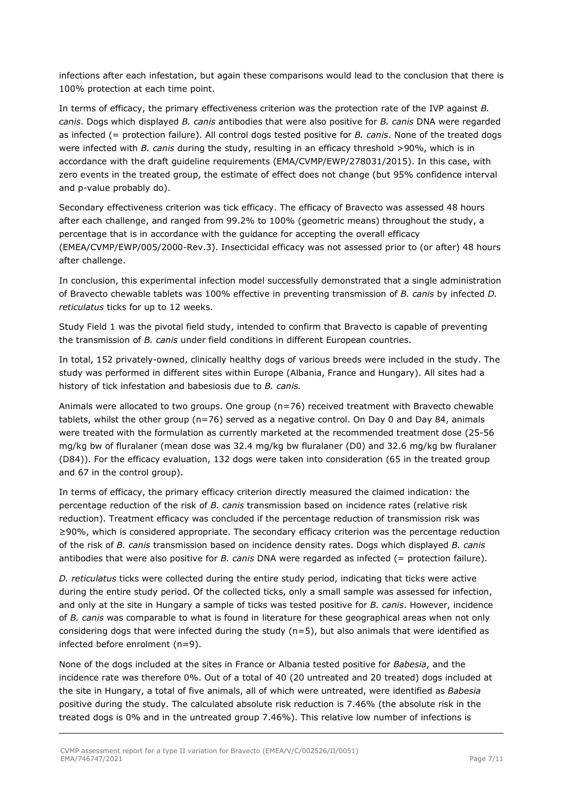infections after each infestation, but again these comparisons would lead to the conclusion that there is 100% protection at each time point.

In terms of efficacy, the primary effectiveness criterion was the protection rate of the IVP against *B. canis*. Dogs which displayed *B. canis* antibodies that were also positive for *B. canis* DNA were regarded as infected (= protection failure). All control dogs tested positive for *B. canis*. None of the treated dogs were infected with *B. canis* during the study, resulting in an efficacy threshold >90%, which is in accordance with the draft guideline requirements (EMA/CVMP/EWP/278031/2015). In this case, with zero events in the treated group, the estimate of effect does not change (but 95% confidence interval and p-value probably do).

Secondary effectiveness criterion was tick efficacy. The efficacy of Bravecto was assessed 48 hours after each challenge, and ranged from 99.2% to 100% (geometric means) throughout the study, a percentage that is in accordance with the guidance for accepting the overall efficacy (EMEA/CVMP/EWP/005/2000-Rev.3). Insecticidal efficacy was not assessed prior to (or after) 48 hours after challenge.

In conclusion, this experimental infection model successfully demonstrated that a single administration of Bravecto chewable tablets was 100% effective in preventing transmission of *B. canis* by infected *D. reticulatus* ticks for up to 12 weeks.

Study Field 1 was the pivotal field study, intended to confirm that Bravecto is capable of preventing the transmission of *B. canis* under field conditions in different European countries.

In total, 152 privately-owned, clinically healthy dogs of various breeds were included in the study. The study was performed in different sites within Europe (Albania, France and Hungary). All sites had a history of tick infestation and babesiosis due to *B. canis.*

Animals were allocated to two groups. One group (n=76) received treatment with Bravecto chewable tablets, whilst the other group (n=76) served as a negative control. On Day 0 and Day 84, animals were treated with the formulation as currently marketed at the recommended treatment dose (25-56 mg/kg bw of fluralaner (mean dose was 32.4 mg/kg bw fluralaner (D0) and 32.6 mg/kg bw fluralaner (D84)). For the efficacy evaluation, 132 dogs were taken into consideration (65 in the treated group and 67 in the control group).

In terms of efficacy, the primary efficacy criterion directly measured the claimed indication: the percentage reduction of the risk of *B. canis* transmission based on incidence rates (relative risk reduction). Treatment efficacy was concluded if the percentage reduction of transmission risk was ≥90%, which is considered appropriate. The secondary efficacy criterion was the percentage reduction of the risk of *B. canis* transmission based on incidence density rates. Dogs which displayed *B. canis* antibodies that were also positive for *B. canis* DNA were regarded as infected (= protection failure).

*D. reticulatus* ticks were collected during the entire study period, indicating that ticks were active during the entire study period. Of the collected ticks, only a small sample was assessed for infection, and only at the site in Hungary a sample of ticks was tested positive for *B. canis*. However, incidence of *B. canis* was comparable to what is found in literature for these geographical areas when not only considering dogs that were infected during the study ( $n=5$ ), but also animals that were identified as infected before enrolment (n=9).

None of the dogs included at the sites in France or Albania tested positive for *Babesia*, and the incidence rate was therefore 0%. Out of a total of 40 (20 untreated and 20 treated) dogs included at the site in Hungary, a total of five animals, all of which were untreated, were identified as *Babesia* positive during the study. The calculated absolute risk reduction is 7.46% (the absolute risk in the treated dogs is 0% and in the untreated group 7.46%). This relative low number of infections is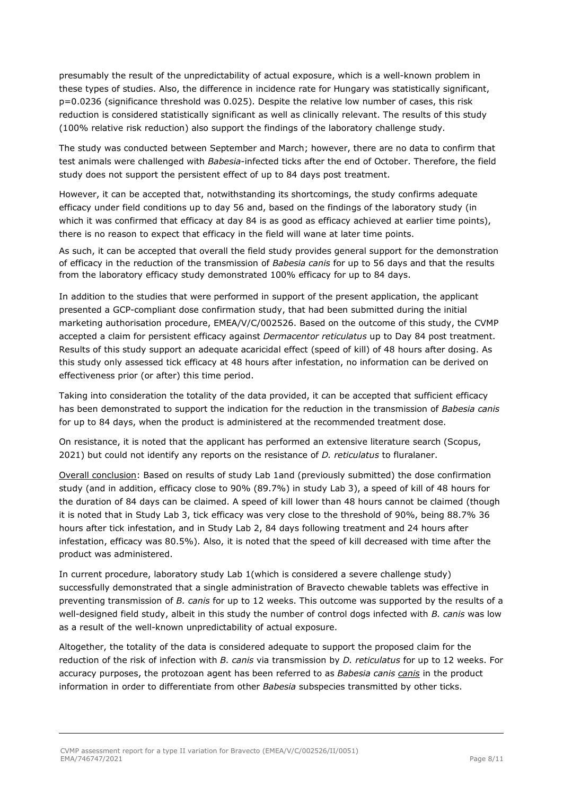presumably the result of the unpredictability of actual exposure, which is a well-known problem in these types of studies. Also, the difference in incidence rate for Hungary was statistically significant, p=0.0236 (significance threshold was 0.025). Despite the relative low number of cases, this risk reduction is considered statistically significant as well as clinically relevant. The results of this study (100% relative risk reduction) also support the findings of the laboratory challenge study.

The study was conducted between September and March; however, there are no data to confirm that test animals were challenged with *Babesia*-infected ticks after the end of October. Therefore, the field study does not support the persistent effect of up to 84 days post treatment.

However, it can be accepted that, notwithstanding its shortcomings, the study confirms adequate efficacy under field conditions up to day 56 and, based on the findings of the laboratory study (in which it was confirmed that efficacy at day 84 is as good as efficacy achieved at earlier time points), there is no reason to expect that efficacy in the field will wane at later time points.

As such, it can be accepted that overall the field study provides general support for the demonstration of efficacy in the reduction of the transmission of *Babesia canis* for up to 56 days and that the results from the laboratory efficacy study demonstrated 100% efficacy for up to 84 days.

In addition to the studies that were performed in support of the present application, the applicant presented a GCP-compliant dose confirmation study, that had been submitted during the initial marketing authorisation procedure, EMEA/V/C/002526. Based on the outcome of this study, the CVMP accepted a claim for persistent efficacy against *Dermacentor reticulatus* up to Day 84 post treatment. Results of this study support an adequate acaricidal effect (speed of kill) of 48 hours after dosing. As this study only assessed tick efficacy at 48 hours after infestation, no information can be derived on effectiveness prior (or after) this time period.

Taking into consideration the totality of the data provided, it can be accepted that sufficient efficacy has been demonstrated to support the indication for the reduction in the transmission of *Babesia canis* for up to 84 days, when the product is administered at the recommended treatment dose.

On resistance, it is noted that the applicant has performed an extensive literature search (Scopus, 2021) but could not identify any reports on the resistance of *D. reticulatus* to fluralaner.

Overall conclusion: Based on results of study Lab 1and (previously submitted) the dose confirmation study (and in addition, efficacy close to 90% (89.7%) in study Lab 3), a speed of kill of 48 hours for the duration of 84 days can be claimed. A speed of kill lower than 48 hours cannot be claimed (though it is noted that in Study Lab 3, tick efficacy was very close to the threshold of 90%, being 88.7% 36 hours after tick infestation, and in Study Lab 2, 84 days following treatment and 24 hours after infestation, efficacy was 80.5%). Also, it is noted that the speed of kill decreased with time after the product was administered.

In current procedure, laboratory study Lab 1(which is considered a severe challenge study) successfully demonstrated that a single administration of Bravecto chewable tablets was effective in preventing transmission of *B. canis* for up to 12 weeks. This outcome was supported by the results of a well-designed field study, albeit in this study the number of control dogs infected with *B. canis* was low as a result of the well-known unpredictability of actual exposure.

Altogether, the totality of the data is considered adequate to support the proposed claim for the reduction of the risk of infection with *B. canis* via transmission by *D. reticulatus* for up to 12 weeks. For accuracy purposes, the protozoan agent has been referred to as *Babesia canis canis* in the product information in order to differentiate from other *Babesia* subspecies transmitted by other ticks.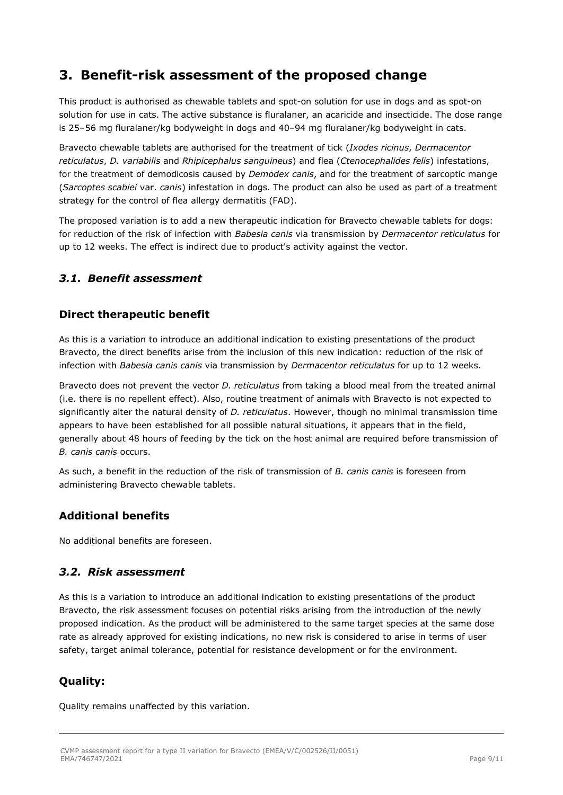### <span id="page-8-0"></span>**3. Benefit-risk assessment of the proposed change**

This product is authorised as chewable tablets and spot-on solution for use in dogs and as spot-on solution for use in cats. The active substance is fluralaner, an acaricide and insecticide. The dose range is 25–56 mg fluralaner/kg bodyweight in dogs and 40–94 mg fluralaner/kg bodyweight in cats.

Bravecto chewable tablets are authorised for the treatment of tick (*Ixodes ricinus*, *Dermacentor reticulatus*, *D. variabilis* and *Rhipicephalus sanguineus*) and flea (*Ctenocephalides felis*) infestations, for the treatment of demodicosis caused by *Demodex canis*, and for the treatment of sarcoptic mange (*Sarcoptes scabiei* var. *canis*) infestation in dogs. The product can also be used as part of a treatment strategy for the control of flea allergy dermatitis (FAD).

The proposed variation is to add a new therapeutic indication for Bravecto chewable tablets for dogs: for reduction of the risk of infection with *Babesia canis* via transmission by *Dermacentor reticulatus* for up to 12 weeks. The effect is indirect due to product's activity against the vector.

### <span id="page-8-1"></span>*3.1. Benefit assessment*

### **Direct therapeutic benefit**

As this is a variation to introduce an additional indication to existing presentations of the product Bravecto, the direct benefits arise from the inclusion of this new indication: reduction of the risk of infection with *Babesia canis canis* via transmission by *Dermacentor reticulatus* for up to 12 weeks.

Bravecto does not prevent the vector *D. reticulatus* from taking a blood meal from the treated animal (i.e. there is no repellent effect). Also, routine treatment of animals with Bravecto is not expected to significantly alter the natural density of *D. reticulatus*. However, though no minimal transmission time appears to have been established for all possible natural situations, it appears that in the field, generally about 48 hours of feeding by the tick on the host animal are required before transmission of *B. canis canis* occurs.

As such, a benefit in the reduction of the risk of transmission of *B. canis canis* is foreseen from administering Bravecto chewable tablets.

### **Additional benefits**

No additional benefits are foreseen.

### <span id="page-8-2"></span>*3.2. Risk assessment*

As this is a variation to introduce an additional indication to existing presentations of the product Bravecto, the risk assessment focuses on potential risks arising from the introduction of the newly proposed indication. As the product will be administered to the same target species at the same dose rate as already approved for existing indications, no new risk is considered to arise in terms of user safety, target animal tolerance, potential for resistance development or for the environment.

### **Quality:**

Quality remains unaffected by this variation.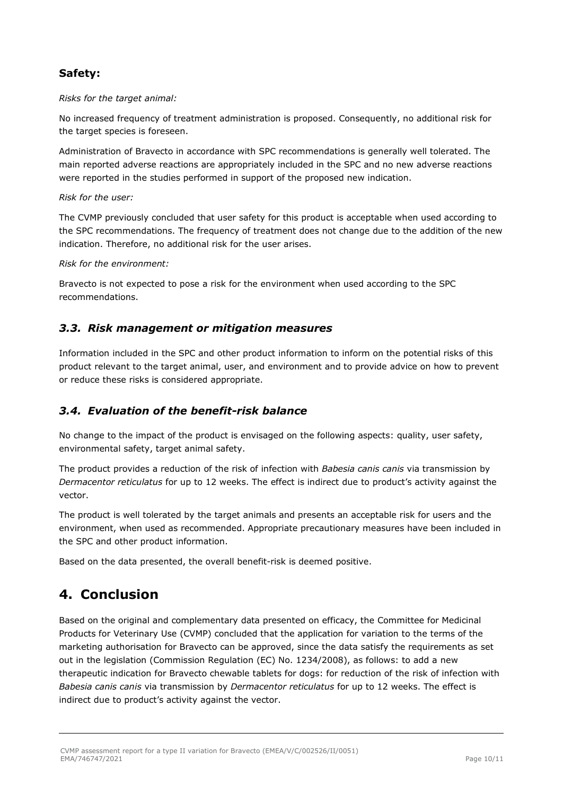### **Safety:**

*Risks for the target animal:*

No increased frequency of treatment administration is proposed. Consequently, no additional risk for the target species is foreseen.

Administration of Bravecto in accordance with SPC recommendations is generally well tolerated. The main reported adverse reactions are appropriately included in the SPC and no new adverse reactions were reported in the studies performed in support of the proposed new indication.

*Risk for the user:*

The CVMP previously concluded that user safety for this product is acceptable when used according to the SPC recommendations. The frequency of treatment does not change due to the addition of the new indication. Therefore, no additional risk for the user arises.

*Risk for the environment:*

Bravecto is not expected to pose a risk for the environment when used according to the SPC recommendations.

#### <span id="page-9-0"></span>*3.3. Risk management or mitigation measures*

Information included in the SPC and other product information to inform on the potential risks of this product relevant to the target animal, user, and environment and to provide advice on how to prevent or reduce these risks is considered appropriate.

### <span id="page-9-1"></span>*3.4. Evaluation of the benefit-risk balance*

No change to the impact of the product is envisaged on the following aspects: quality, user safety, environmental safety, target animal safety.

The product provides a reduction of the risk of infection with *Babesia canis canis* via transmission by *Dermacentor reticulatus* for up to 12 weeks. The effect is indirect due to product's activity against the vector.

The product is well tolerated by the target animals and presents an acceptable risk for users and the environment, when used as recommended. Appropriate precautionary measures have been included in the SPC and other product information.

Based on the data presented, the overall benefit-risk is deemed positive.

### <span id="page-9-2"></span>**4. Conclusion**

Based on the original and complementary data presented on efficacy, the Committee for Medicinal Products for Veterinary Use (CVMP) concluded that the application for variation to the terms of the marketing authorisation for Bravecto can be approved, since the data satisfy the requirements as set out in the legislation (Commission Regulation (EC) No. 1234/2008), as follows: to add a new therapeutic indication for Bravecto chewable tablets for dogs: for reduction of the risk of infection with *Babesia canis canis* via transmission by *Dermacentor reticulatus* for up to 12 weeks. The effect is indirect due to product's activity against the vector.